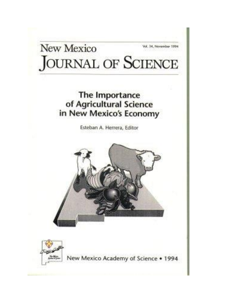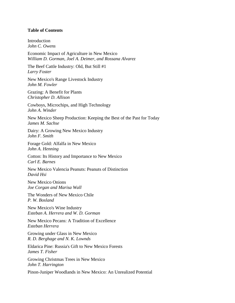## **Table of Contents**

**Introduction** *John C. Owens*

Economic Impact of Agriculture in New Mexico *William D. Gorman, Joel A. Deimer, and Rossana Alvarez*

The Beef Cattle Industry: Old, But Still #1 *Larry Foster*

New Mexico's Range Livestock Industry *John M. Fowler*

Grazing: A Benefit for Plants *Christopher D. Allison*

Cowboys, Microchips, and High Technology *John A. Winder*

New Mexico Sheep Production: Keeping the Best of the Past for Today *James M. Sachse*

Dairy: A Growing New Mexico Industry *John F. Smith*

Forage Gold: Alfalfa in New Mexico *John A. Henning*

Cotton: Its History and Importance to New Mexico *Carl E. Barnes*

New Mexico Valencia Peanuts: Peanuts of Distinction *David Hsi*

New Mexico Onions *Joe Corgan and Marisa Wall*

The Wonders of New Mexico Chile *P. W. Bosland*

New Mexico's Wine Industry *Esteban A. Herrera and W. D. Gorman*

New Mexico Pecans: A Tradition of Excellence *Esteban Herrera*

Growing under Glass in New Mexico *R. D. Berghage and N. K. Lownds*

Eldarica Pine: Russia's Gift to New Mexico Forests *James T. Fisher*

Growing Christmas Trees in New Mexico *John T. Harrington*

Pinon-Juniper Woodlands in New Mexico: An Unrealized Potential